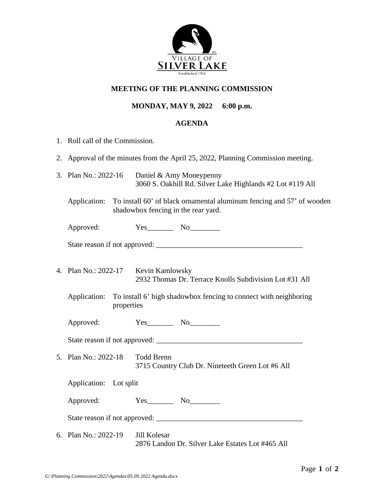

## **MEETING OF THE PLANNING COMMISSION**

## **MONDAY, MAY 9, 2022 6:00 p.m.**

## **AGENDA**

- 1. Roll call of the Commission.
- 2. Approval of the minutes from the April 25, 2022, Planning Commission meeting.
- 3. Plan No.: 2022-16 Daniel & Amy Moneypenny 3060 S. Oakhill Rd. Silver Lake Highlands #2 Lot #119 All
	- Application: To install 60' of black ornamental aluminum fencing and 57' of wooden shadowbox fencing in the rear yard.

Approved:  $Yes$  No

| State reason if not approved: |  |
|-------------------------------|--|
|                               |  |

- 4. Plan No.: 2022-17 Kevin Kamlowsky 2932 Thomas Dr. Terrace Knolls Subdivision Lot #31 All
	- Application: To install 6' high shadowbox fencing to connect with neighboring properties

Approved: Yes\_\_\_\_\_\_\_\_ No\_\_\_\_\_\_\_\_\_

State reason if not approved: \_\_\_\_\_\_\_\_\_\_\_\_\_\_\_\_\_\_\_\_\_\_\_\_\_\_\_\_\_\_\_\_\_\_\_\_\_\_\_

5. Plan No.: 2022-18 Todd Brenn 3715 Country Club Dr. Nineteeth Green Lot #6 All

Application: Lot split

Approved:  $Yes$  No

State reason if not approved:

6. Plan No.: 2022-19 Jill Kolesar 2876 Landon Dr. Silver Lake Estates Lot #465 All